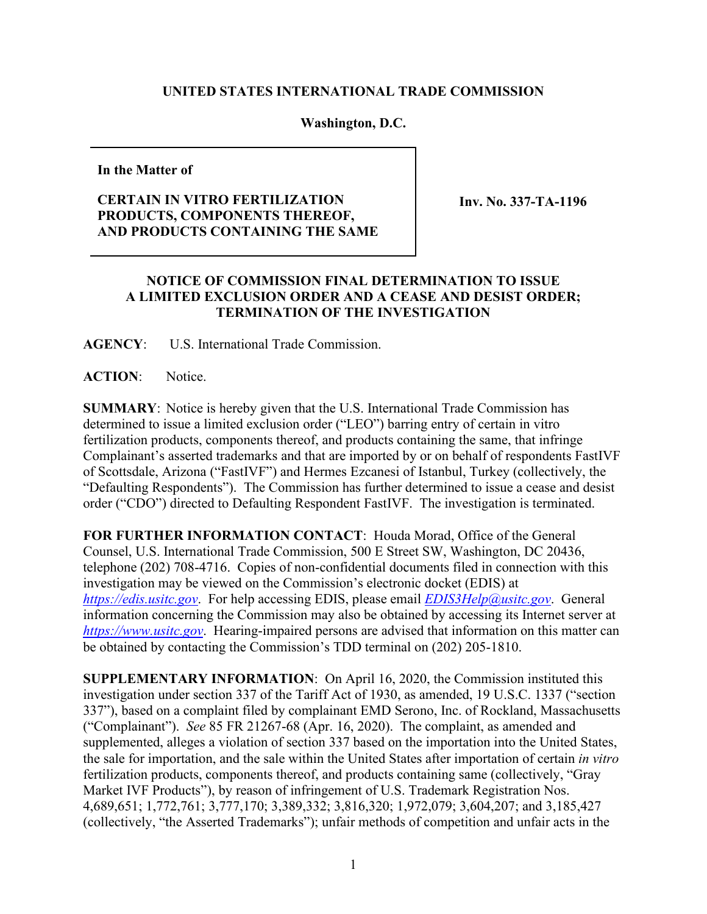## **UNITED STATES INTERNATIONAL TRADE COMMISSION**

## **Washington, D.C.**

**In the Matter of** 

## **CERTAIN IN VITRO FERTILIZATION PRODUCTS, COMPONENTS THEREOF, AND PRODUCTS CONTAINING THE SAME**

**Inv. No. 337-TA-1196** 

## **NOTICE OF COMMISSION FINAL DETERMINATION TO ISSUE A LIMITED EXCLUSION ORDER AND A CEASE AND DESIST ORDER; TERMINATION OF THE INVESTIGATION**

**AGENCY**: U.S. International Trade Commission.

**ACTION**: Notice.

**SUMMARY**: Notice is hereby given that the U.S. International Trade Commission has determined to issue a limited exclusion order ("LEO") barring entry of certain in vitro fertilization products, components thereof, and products containing the same, that infringe Complainant's asserted trademarks and that are imported by or on behalf of respondents FastIVF of Scottsdale, Arizona ("FastIVF") and Hermes Ezcanesi of Istanbul, Turkey (collectively, the "Defaulting Respondents"). The Commission has further determined to issue a cease and desist order ("CDO") directed to Defaulting Respondent FastIVF. The investigation is terminated.

**FOR FURTHER INFORMATION CONTACT**: Houda Morad, Office of the General Counsel, U.S. International Trade Commission, 500 E Street SW, Washington, DC 20436, telephone (202) 708-4716. Copies of non-confidential documents filed in connection with this investigation may be viewed on the Commission's electronic docket (EDIS) at *[https://edis.usitc.gov](https://edis.usitc.gov/)*. For help accessing EDIS, please email *[EDIS3Help@usitc.gov](mailto:EDIS3Help@usitc.gov)*. General information concerning the Commission may also be obtained by accessing its Internet server at *[https://www.usitc.gov](https://www.usitc.gov/)*. Hearing-impaired persons are advised that information on this matter can be obtained by contacting the Commission's TDD terminal on (202) 205-1810.

**SUPPLEMENTARY INFORMATION**: On April 16, 2020, the Commission instituted this investigation under section 337 of the Tariff Act of 1930, as amended, 19 U.S.C. 1337 ("section 337"), based on a complaint filed by complainant EMD Serono, Inc. of Rockland, Massachusetts ("Complainant"). *See* 85 FR 21267-68 (Apr. 16, 2020). The complaint, as amended and supplemented, alleges a violation of section 337 based on the importation into the United States, the sale for importation, and the sale within the United States after importation of certain *in vitro* fertilization products, components thereof, and products containing same (collectively, "Gray Market IVF Products"), by reason of infringement of U.S. Trademark Registration Nos. 4,689,651; 1,772,761; 3,777,170; 3,389,332; 3,816,320; 1,972,079; 3,604,207; and 3,185,427 (collectively, "the Asserted Trademarks"); unfair methods of competition and unfair acts in the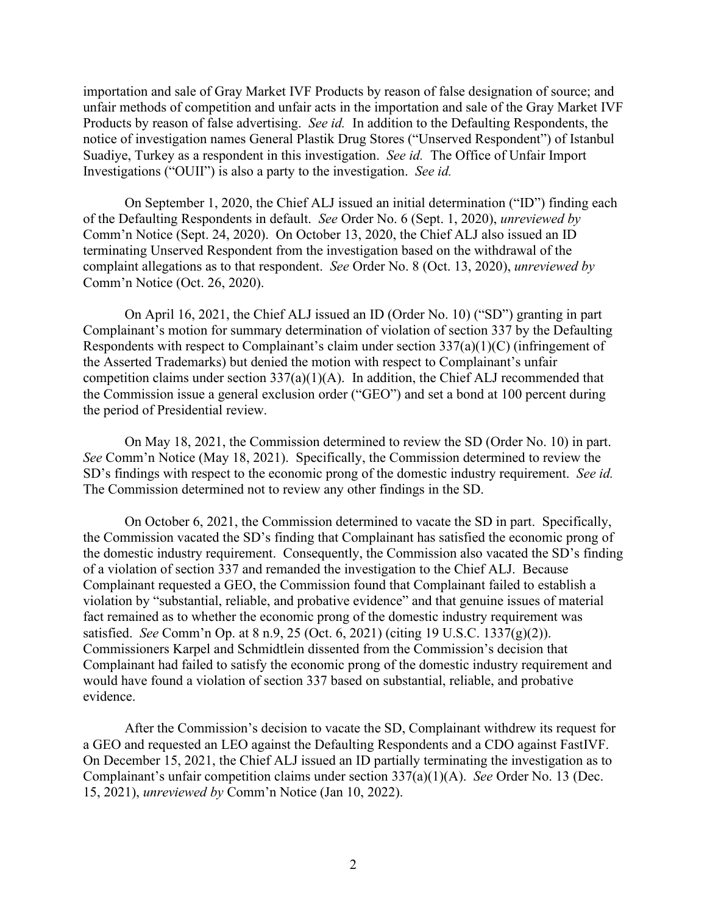importation and sale of Gray Market IVF Products by reason of false designation of source; and unfair methods of competition and unfair acts in the importation and sale of the Gray Market IVF Products by reason of false advertising. *See id.* In addition to the Defaulting Respondents, the notice of investigation names General Plastik Drug Stores ("Unserved Respondent") of Istanbul Suadiye, Turkey as a respondent in this investigation. *See id.* The Office of Unfair Import Investigations ("OUII") is also a party to the investigation. *See id.* 

On September 1, 2020, the Chief ALJ issued an initial determination ("ID") finding each of the Defaulting Respondents in default. *See* Order No. 6 (Sept. 1, 2020), *unreviewed by* Comm'n Notice (Sept. 24, 2020). On October 13, 2020, the Chief ALJ also issued an ID terminating Unserved Respondent from the investigation based on the withdrawal of the complaint allegations as to that respondent. *See* Order No. 8 (Oct. 13, 2020), *unreviewed by*  Comm'n Notice (Oct. 26, 2020).

On April 16, 2021, the Chief ALJ issued an ID (Order No. 10) ("SD") granting in part Complainant's motion for summary determination of violation of section 337 by the Defaulting Respondents with respect to Complainant's claim under section 337(a)(1)(C) (infringement of the Asserted Trademarks) but denied the motion with respect to Complainant's unfair competition claims under section 337(a)(1)(A). In addition, the Chief ALJ recommended that the Commission issue a general exclusion order ("GEO") and set a bond at 100 percent during the period of Presidential review.

On May 18, 2021, the Commission determined to review the SD (Order No. 10) in part. *See* Comm'n Notice (May 18, 2021). Specifically, the Commission determined to review the SD's findings with respect to the economic prong of the domestic industry requirement. *See id.* The Commission determined not to review any other findings in the SD.

On October 6, 2021, the Commission determined to vacate the SD in part. Specifically, the Commission vacated the SD's finding that Complainant has satisfied the economic prong of the domestic industry requirement. Consequently, the Commission also vacated the SD's finding of a violation of section 337 and remanded the investigation to the Chief ALJ. Because Complainant requested a GEO, the Commission found that Complainant failed to establish a violation by "substantial, reliable, and probative evidence" and that genuine issues of material fact remained as to whether the economic prong of the domestic industry requirement was satisfied. *See* Comm'n Op. at 8 n.9, 25 (Oct. 6, 2021) (citing 19 U.S.C. 1337(g)(2)). Commissioners Karpel and Schmidtlein dissented from the Commission's decision that Complainant had failed to satisfy the economic prong of the domestic industry requirement and would have found a violation of section 337 based on substantial, reliable, and probative evidence.

After the Commission's decision to vacate the SD, Complainant withdrew its request for a GEO and requested an LEO against the Defaulting Respondents and a CDO against FastIVF. On December 15, 2021, the Chief ALJ issued an ID partially terminating the investigation as to Complainant's unfair competition claims under section 337(a)(1)(A). *See* Order No. 13 (Dec. 15, 2021), *unreviewed by* Comm'n Notice (Jan 10, 2022).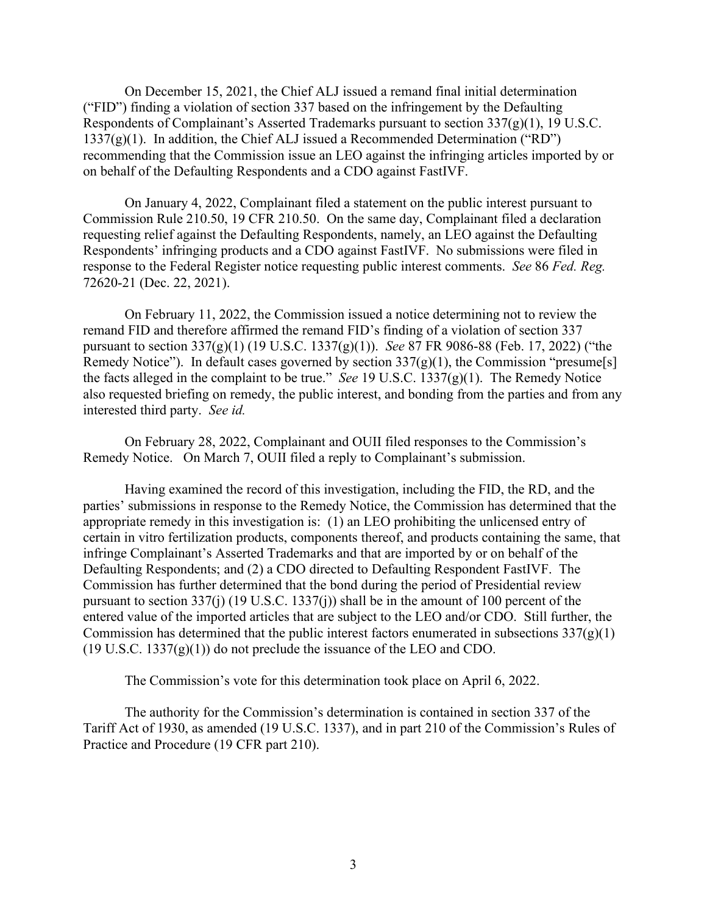On December 15, 2021, the Chief ALJ issued a remand final initial determination ("FID") finding a violation of section 337 based on the infringement by the Defaulting Respondents of Complainant's Asserted Trademarks pursuant to section 337(g)(1), 19 U.S.C.  $1337(g)(1)$ . In addition, the Chief ALJ issued a Recommended Determination ("RD") recommending that the Commission issue an LEO against the infringing articles imported by or on behalf of the Defaulting Respondents and a CDO against FastIVF.

On January 4, 2022, Complainant filed a statement on the public interest pursuant to Commission Rule 210.50, 19 CFR 210.50. On the same day, Complainant filed a declaration requesting relief against the Defaulting Respondents, namely, an LEO against the Defaulting Respondents' infringing products and a CDO against FastIVF. No submissions were filed in response to the Federal Register notice requesting public interest comments. *See* 86 *Fed. Reg.* 72620-21 (Dec. 22, 2021).

On February 11, 2022, the Commission issued a notice determining not to review the remand FID and therefore affirmed the remand FID's finding of a violation of section 337 pursuant to section 337(g)(1) (19 U.S.C. 1337(g)(1)). *See* 87 FR 9086-88 (Feb. 17, 2022) ("the Remedy Notice"). In default cases governed by section  $337(g)(1)$ , the Commission "presume[s] the facts alleged in the complaint to be true." *See* 19 U.S.C. 1337(g)(1). The Remedy Notice also requested briefing on remedy, the public interest, and bonding from the parties and from any interested third party. *See id.*

On February 28, 2022, Complainant and OUII filed responses to the Commission's Remedy Notice. On March 7, OUII filed a reply to Complainant's submission.

Having examined the record of this investigation, including the FID, the RD, and the parties' submissions in response to the Remedy Notice, the Commission has determined that the appropriate remedy in this investigation is: (1) an LEO prohibiting the unlicensed entry of certain in vitro fertilization products, components thereof, and products containing the same, that infringe Complainant's Asserted Trademarks and that are imported by or on behalf of the Defaulting Respondents; and (2) a CDO directed to Defaulting Respondent FastIVF. The Commission has further determined that the bond during the period of Presidential review pursuant to section 337(j) (19 U.S.C. 1337(j)) shall be in the amount of 100 percent of the entered value of the imported articles that are subject to the LEO and/or CDO. Still further, the Commission has determined that the public interest factors enumerated in subsections  $337(g)(1)$  $(19 \text{ U.S.C. } 1337(g)(1))$  do not preclude the issuance of the LEO and CDO.

The Commission's vote for this determination took place on April 6, 2022.

The authority for the Commission's determination is contained in section 337 of the Tariff Act of 1930, as amended (19 U.S.C. 1337), and in part 210 of the Commission's Rules of Practice and Procedure (19 CFR part 210).